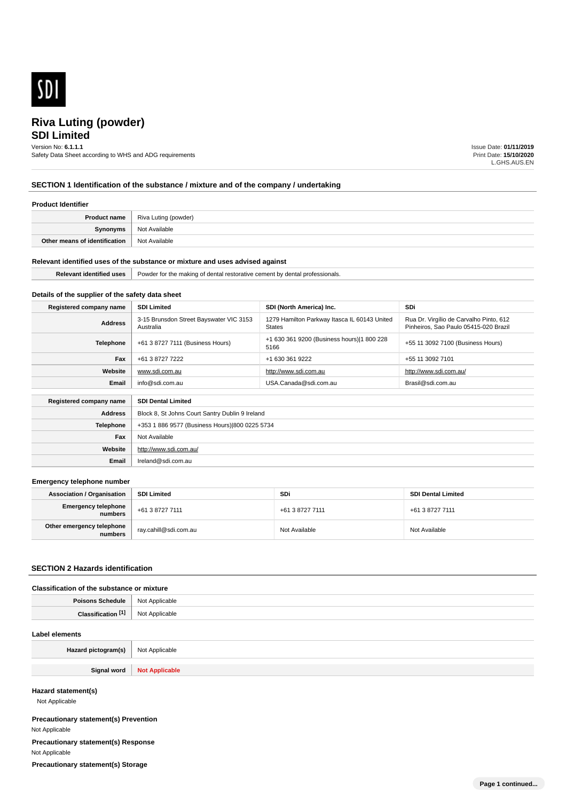

# **SDI Limited**

Version No: **6.1.1.1**

Safety Data Sheet according to WHS and ADG requirements

Issue Date: **01/11/2019** Print Date: **15/10/2020** L.GHS.AUS.EN

# **SECTION 1 Identification of the substance / mixture and of the company / undertaking**

#### **Product Identifier**

|                               | <b>Product name</b>   Riva Luting (powder) |
|-------------------------------|--------------------------------------------|
| Synonyms                      | Not Available                              |
| Other means of identification | Not Available                              |

#### **Relevant identified uses of the substance or mixture and uses advised against**

| <b>Polova</b> | dental<br>rotes:<br>ш<br>ement<br>sionais<br>. |  |
|---------------|------------------------------------------------|--|
|               |                                                |  |

# **Details of the supplier of the safety data sheet**

**Website**

**Email** Ireland@sdi.com.au

http://www.sdi.com.au/

| Registered company name                              | <b>SDI Limited</b>                                   | SDI (North America) Inc.                                      | <b>SDi</b>                                                                       |
|------------------------------------------------------|------------------------------------------------------|---------------------------------------------------------------|----------------------------------------------------------------------------------|
| <b>Address</b>                                       | 3-15 Brunsdon Street Bayswater VIC 3153<br>Australia | 1279 Hamilton Parkway Itasca IL 60143 United<br><b>States</b> | Rua Dr. Virgílio de Carvalho Pinto, 612<br>Pinheiros, Sao Paulo 05415-020 Brazil |
| <b>Telephone</b>                                     | +61 3 8727 7111 (Business Hours)                     | +1 630 361 9200 (Business hours) 1 800 228<br>5166            | +55 11 3092 7100 (Business Hours)                                                |
| Fax                                                  | +61 3 8727 7222                                      | +1 630 361 9222                                               | +55 11 3092 7101                                                                 |
| Website                                              | www.sdi.com.au                                       | http://www.sdi.com.au                                         | http://www.sdi.com.au/                                                           |
| Email                                                | info@sdi.com.au                                      | USA.Canada@sdi.com.au                                         | Brasil@sdi.com.au                                                                |
| <b>SDI Dental Limited</b><br>Registered company name |                                                      |                                                               |                                                                                  |
|                                                      |                                                      |                                                               |                                                                                  |
| <b>Address</b>                                       | Block 8, St Johns Court Santry Dublin 9 Ireland      |                                                               |                                                                                  |
| <b>Telephone</b>                                     | +353 1 886 9577 (Business Hours) 800 0225 5734       |                                                               |                                                                                  |
| Fax                                                  | Not Available                                        |                                                               |                                                                                  |

#### **Emergency telephone number**

| <b>Association / Organisation</b>    | <b>SDI Limited</b>    | <b>SDi</b>      | <b>SDI Dental Limited</b> |
|--------------------------------------|-----------------------|-----------------|---------------------------|
| Emergency telephone<br>numbers       | +61 3 8727 7111       | +61 3 8727 7111 | +61 3 8727 7111           |
| Other emergency telephone<br>numbers | ray.cahill@sdi.com.au | Not Available   | Not Available             |

#### **SECTION 2 Hazards identification**

### **Classification of the substance or mixture**

| Daice | licable                                                  |
|-------|----------------------------------------------------------|
| 1ule  | <b>N<sub>IO</sub></b>                                    |
| .     | ∩ahlo<br>.<br>the contract of the contract of the<br>. . |

#### **Label elements**

| Hazard pictogram(s) | Not Applicable        |
|---------------------|-----------------------|
|                     |                       |
| Signal word<br>---- | <b>ITOL Applicant</b> |

### **Hazard statement(s)**

Not Applicable

**Precautionary statement(s) Prevention** Not Applicable **Precautionary statement(s) Response** Not Applicable **Precautionary statement(s) Storage**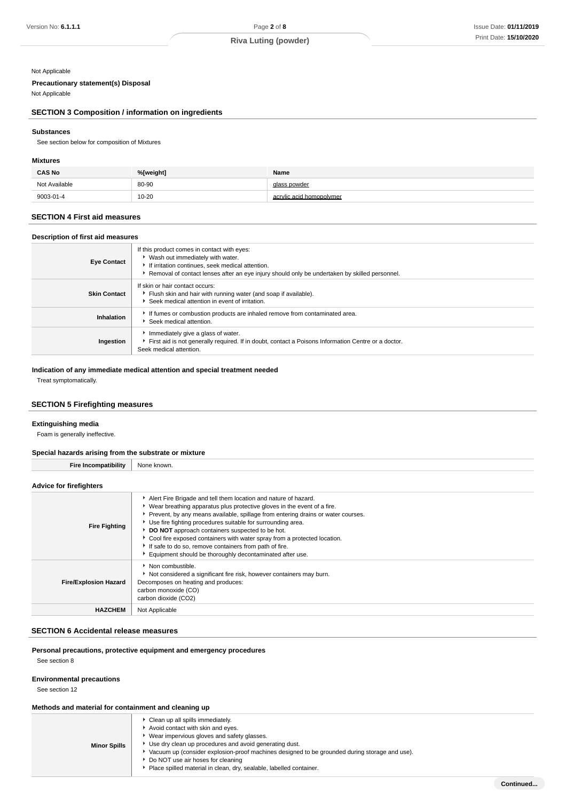### Not Applicable

# **Precautionary statement(s) Disposal**

Not Applicable

# **SECTION 3 Composition / information on ingredients**

### **Substances**

See section below for composition of Mixtures

### **Mixtures**

| <b>CAS No</b> | %[weight] | Name                     |
|---------------|-----------|--------------------------|
| Not Available | 80-90     | glass powder             |
| 9003-01-4     | $10 - 20$ | acrylic acid homopolymer |

### **SECTION 4 First aid measures**

#### **Description of first aid measures**

| <b>Eye Contact</b>  | If this product comes in contact with eyes:<br>▶ Wash out immediately with water.<br>If irritation continues, seek medical attention.<br>Removal of contact lenses after an eye injury should only be undertaken by skilled personnel. |
|---------------------|----------------------------------------------------------------------------------------------------------------------------------------------------------------------------------------------------------------------------------------|
| <b>Skin Contact</b> | If skin or hair contact occurs:<br>Flush skin and hair with running water (and soap if available).<br>Seek medical attention in event of irritation.                                                                                   |
| Inhalation          | If fumes or combustion products are inhaled remove from contaminated area.<br>Seek medical attention.                                                                                                                                  |
| Ingestion           | Immediately give a glass of water.<br>First aid is not generally required. If in doubt, contact a Poisons Information Centre or a doctor.<br>Seek medical attention.                                                                   |

### **Indication of any immediate medical attention and special treatment needed**

Treat symptomatically.

### **SECTION 5 Firefighting measures**

#### **Extinguishing media**

Foam is generally ineffective.

### **Special hazards arising from the substrate or mixture**

**Fire Incompatibility** None known.

### **Advice for firefighters**

| <b>Fire Fighting</b>         | Alert Fire Brigade and tell them location and nature of hazard.<br>▶ Wear breathing apparatus plus protective gloves in the event of a fire.<br>► Prevent, by any means available, spillage from entering drains or water courses.<br>Use fire fighting procedures suitable for surrounding area.<br><b>DO NOT</b> approach containers suspected to be hot.<br>Cool fire exposed containers with water spray from a protected location.<br>If safe to do so, remove containers from path of fire.<br>Equipment should be thoroughly decontaminated after use. |
|------------------------------|---------------------------------------------------------------------------------------------------------------------------------------------------------------------------------------------------------------------------------------------------------------------------------------------------------------------------------------------------------------------------------------------------------------------------------------------------------------------------------------------------------------------------------------------------------------|
| <b>Fire/Explosion Hazard</b> | $\blacktriangleright$ Non combustible.<br>Not considered a significant fire risk, however containers may burn.<br>Decomposes on heating and produces:<br>carbon monoxide (CO)<br>carbon dioxide (CO2)                                                                                                                                                                                                                                                                                                                                                         |
| <b>HAZCHEM</b>               | Not Applicable                                                                                                                                                                                                                                                                                                                                                                                                                                                                                                                                                |

### **SECTION 6 Accidental release measures**

### **Personal precautions, protective equipment and emergency procedures**

See section 8

### **Environmental precautions**

See section 12

### **Methods and material for containment and cleaning up**

| <b>Minor Spills</b> | Clean up all spills immediately.<br>Avoid contact with skin and eyes.<br>Wear impervious gloves and safety glasses.<br>▶ Use dry clean up procedures and avoid generating dust.<br>Vacuum up (consider explosion-proof machines designed to be grounded during storage and use).<br>▶ Do NOT use air hoses for cleaning<br>Place spilled material in clean, dry, sealable, labelled container. |
|---------------------|------------------------------------------------------------------------------------------------------------------------------------------------------------------------------------------------------------------------------------------------------------------------------------------------------------------------------------------------------------------------------------------------|
|---------------------|------------------------------------------------------------------------------------------------------------------------------------------------------------------------------------------------------------------------------------------------------------------------------------------------------------------------------------------------------------------------------------------------|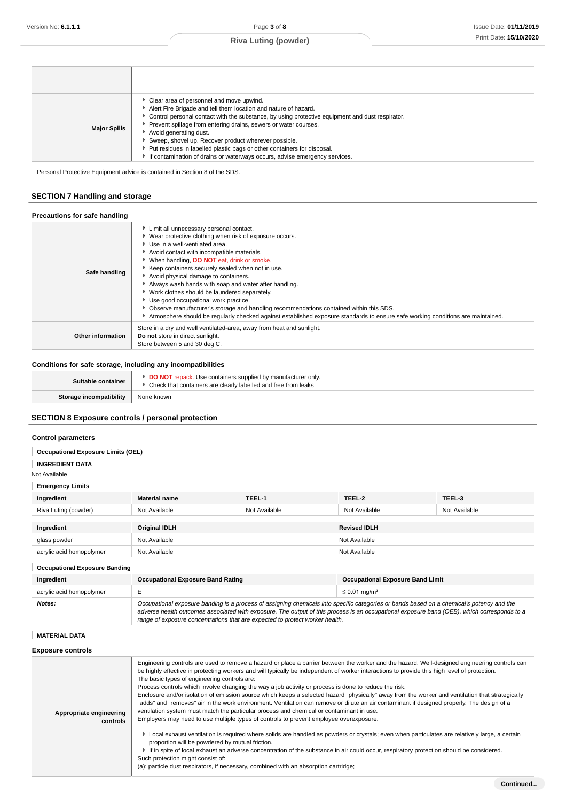| <b>Major Spills</b> | • Clear area of personnel and move upwind.<br>Alert Fire Brigade and tell them location and nature of hazard.<br>Control personal contact with the substance, by using protective equipment and dust respirator.<br>Prevent spillage from entering drains, sewers or water courses.<br>Avoid generating dust.<br>Sweep, shovel up. Recover product wherever possible.<br>• Put residues in labelled plastic bags or other containers for disposal.<br>If contamination of drains or waterways occurs, advise emergency services. |
|---------------------|----------------------------------------------------------------------------------------------------------------------------------------------------------------------------------------------------------------------------------------------------------------------------------------------------------------------------------------------------------------------------------------------------------------------------------------------------------------------------------------------------------------------------------|

Personal Protective Equipment advice is contained in Section 8 of the SDS.

# **SECTION 7 Handling and storage**

| Precautions for safe handling |                                                                                                                                                                                                                                                                                                                                                                                                                                                                                                                                                                                                                                                                                                                   |
|-------------------------------|-------------------------------------------------------------------------------------------------------------------------------------------------------------------------------------------------------------------------------------------------------------------------------------------------------------------------------------------------------------------------------------------------------------------------------------------------------------------------------------------------------------------------------------------------------------------------------------------------------------------------------------------------------------------------------------------------------------------|
| Safe handling                 | Limit all unnecessary personal contact.<br>• Wear protective clothing when risk of exposure occurs.<br>Use in a well-ventilated area.<br>Avoid contact with incompatible materials.<br>▶ When handling, DO NOT eat, drink or smoke.<br>Keep containers securely sealed when not in use.<br>Avoid physical damage to containers.<br>Always wash hands with soap and water after handling.<br>Vork clothes should be laundered separately.<br>▶ Use good occupational work practice.<br>▶ Observe manufacturer's storage and handling recommendations contained within this SDS.<br>Atmosphere should be regularly checked against established exposure standards to ensure safe working conditions are maintained. |
| Other information             | Store in a dry and well ventilated-area, away from heat and sunlight.<br>Do not store in direct sunlight.<br>Store between 5 and 30 deg C.                                                                                                                                                                                                                                                                                                                                                                                                                                                                                                                                                                        |

# **Conditions for safe storage, including any incompatibilities**

| Suitable container             | <b>DO NOT</b> repack. Use containers supplied by manufacturer only.<br>Check that containers are clearly labelled and free from leaks |
|--------------------------------|---------------------------------------------------------------------------------------------------------------------------------------|
| <b>Storage incompatibility</b> | None known                                                                                                                            |

# **SECTION 8 Exposure controls / personal protection**

### **Control parameters**

- **Occupational Exposure Limits (OEL)**
- **INGREDIENT DATA**

### Not Available

### **Emergency Limits**

| Ingredient               | <b>Material name</b> | TEEL-1        | TEEL-2              | TEEL-3        |
|--------------------------|----------------------|---------------|---------------------|---------------|
| Riva Luting (powder)     | Not Available        | Not Available | Not Available       | Not Available |
|                          |                      |               |                     |               |
| Ingredient               | <b>Original IDLH</b> |               | <b>Revised IDLH</b> |               |
| glass powder             | Not Available        |               | Not Available       |               |
| acrylic acid homopolymer | Not Available        |               | Not Available       |               |

| <b>Occupational Exposure Banding</b> |                                                                                                                                                                                                                                                                                                                                                                          |                                         |  |
|--------------------------------------|--------------------------------------------------------------------------------------------------------------------------------------------------------------------------------------------------------------------------------------------------------------------------------------------------------------------------------------------------------------------------|-----------------------------------------|--|
| Ingredient                           | <b>Occupational Exposure Band Rating</b>                                                                                                                                                                                                                                                                                                                                 | <b>Occupational Exposure Band Limit</b> |  |
| acrylic acid homopolymer             |                                                                                                                                                                                                                                                                                                                                                                          | $\leq 0.01$ mg/m <sup>3</sup>           |  |
| Notes:                               | Occupational exposure banding is a process of assigning chemicals into specific categories or bands based on a chemical's potency and the<br>adverse health outcomes associated with exposure. The output of this process is an occupational exposure band (OEB), which corresponds to a<br>range of exposure concentrations that are expected to protect worker health. |                                         |  |

### **MATERIAL DATA**

| <b>Exposure controls</b>            |                                                                                                                                                                                                                                                                                                                                                                                                                                                                                                                                                                                                                                                                                                                                                                                                                                                                                                                                                 |
|-------------------------------------|-------------------------------------------------------------------------------------------------------------------------------------------------------------------------------------------------------------------------------------------------------------------------------------------------------------------------------------------------------------------------------------------------------------------------------------------------------------------------------------------------------------------------------------------------------------------------------------------------------------------------------------------------------------------------------------------------------------------------------------------------------------------------------------------------------------------------------------------------------------------------------------------------------------------------------------------------|
| Appropriate engineering<br>controls | Engineering controls are used to remove a hazard or place a barrier between the worker and the hazard. Well-designed engineering controls can<br>be highly effective in protecting workers and will typically be independent of worker interactions to provide this high level of protection.<br>The basic types of engineering controls are:<br>Process controls which involve changing the way a job activity or process is done to reduce the risk.<br>Enclosure and/or isolation of emission source which keeps a selected hazard "physically" away from the worker and ventilation that strategically<br>"adds" and "removes" air in the work environment. Ventilation can remove or dilute an air contaminant if designed properly. The design of a<br>ventilation system must match the particular process and chemical or contaminant in use.<br>Employers may need to use multiple types of controls to prevent employee overexposure. |
|                                     | Local exhaust ventilation is required where solids are handled as powders or crystals; even when particulates are relatively large, a certain<br>proportion will be powdered by mutual friction.<br>If in spite of local exhaust an adverse concentration of the substance in air could occur, respiratory protection should be considered.<br>Such protection might consist of:<br>(a): particle dust respirators, if necessary, combined with an absorption cartridge;                                                                                                                                                                                                                                                                                                                                                                                                                                                                        |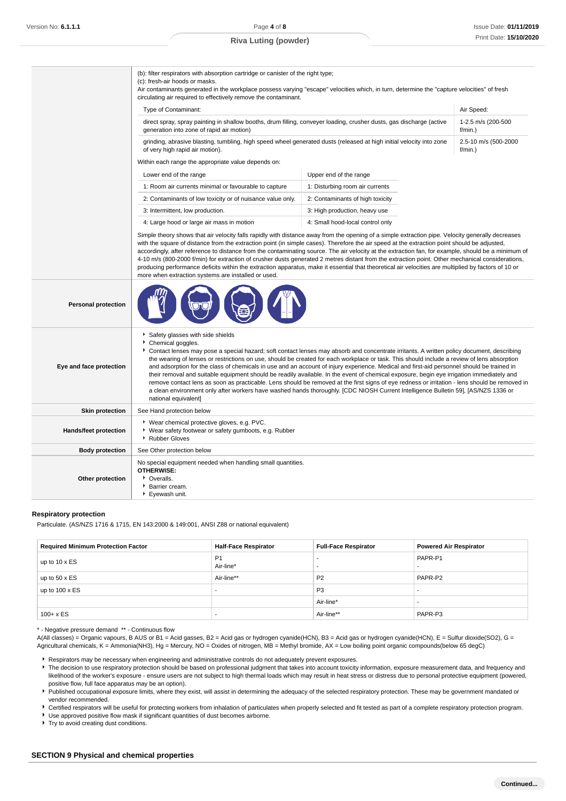|                              | (b): filter respirators with absorption cartridge or canister of the right type;<br>(c): fresh-air hoods or masks.<br>Air contaminants generated in the workplace possess varying "escape" velocities which, in turn, determine the "capture velocities" of fresh<br>circulating air required to effectively remove the contaminant.                                                                                                                                                                                                                                                                                                                                                                                                                                                                                                                                                                                                                         |                                    |  |  |
|------------------------------|--------------------------------------------------------------------------------------------------------------------------------------------------------------------------------------------------------------------------------------------------------------------------------------------------------------------------------------------------------------------------------------------------------------------------------------------------------------------------------------------------------------------------------------------------------------------------------------------------------------------------------------------------------------------------------------------------------------------------------------------------------------------------------------------------------------------------------------------------------------------------------------------------------------------------------------------------------------|------------------------------------|--|--|
|                              | Air Speed:<br>Type of Contaminant:                                                                                                                                                                                                                                                                                                                                                                                                                                                                                                                                                                                                                                                                                                                                                                                                                                                                                                                           |                                    |  |  |
|                              | direct spray, spray painting in shallow booths, drum filling, conveyer loading, crusher dusts, gas discharge (active<br>generation into zone of rapid air motion)                                                                                                                                                                                                                                                                                                                                                                                                                                                                                                                                                                                                                                                                                                                                                                                            | 1-2.5 m/s (200-500<br>f/min.)      |  |  |
|                              | grinding, abrasive blasting, tumbling, high speed wheel generated dusts (released at high initial velocity into zone<br>of very high rapid air motion).                                                                                                                                                                                                                                                                                                                                                                                                                                                                                                                                                                                                                                                                                                                                                                                                      | 2.5-10 m/s (500-2000<br>$f/min.$ ) |  |  |
|                              | Within each range the appropriate value depends on:                                                                                                                                                                                                                                                                                                                                                                                                                                                                                                                                                                                                                                                                                                                                                                                                                                                                                                          |                                    |  |  |
|                              | Lower end of the range                                                                                                                                                                                                                                                                                                                                                                                                                                                                                                                                                                                                                                                                                                                                                                                                                                                                                                                                       | Upper end of the range             |  |  |
|                              | 1: Room air currents minimal or favourable to capture                                                                                                                                                                                                                                                                                                                                                                                                                                                                                                                                                                                                                                                                                                                                                                                                                                                                                                        | 1: Disturbing room air currents    |  |  |
|                              | 2: Contaminants of low toxicity or of nuisance value only.                                                                                                                                                                                                                                                                                                                                                                                                                                                                                                                                                                                                                                                                                                                                                                                                                                                                                                   | 2: Contaminants of high toxicity   |  |  |
|                              | 3: Intermittent, low production.                                                                                                                                                                                                                                                                                                                                                                                                                                                                                                                                                                                                                                                                                                                                                                                                                                                                                                                             | 3: High production, heavy use      |  |  |
|                              | 4: Large hood or large air mass in motion                                                                                                                                                                                                                                                                                                                                                                                                                                                                                                                                                                                                                                                                                                                                                                                                                                                                                                                    | 4: Small hood-local control only   |  |  |
|                              | with the square of distance from the extraction point (in simple cases). Therefore the air speed at the extraction point should be adjusted,<br>accordingly, after reference to distance from the contaminating source. The air velocity at the extraction fan, for example, should be a minimum of<br>4-10 m/s (800-2000 f/min) for extraction of crusher dusts generated 2 metres distant from the extraction point. Other mechanical considerations,<br>producing performance deficits within the extraction apparatus, make it essential that theoretical air velocities are multiplied by factors of 10 or<br>more when extraction systems are installed or used.                                                                                                                                                                                                                                                                                       |                                    |  |  |
| <b>Personal protection</b>   |                                                                                                                                                                                                                                                                                                                                                                                                                                                                                                                                                                                                                                                                                                                                                                                                                                                                                                                                                              |                                    |  |  |
| Eye and face protection      | Safety glasses with side shields<br>Chemical goggles.<br>Contact lenses may pose a special hazard; soft contact lenses may absorb and concentrate irritants. A written policy document, describing<br>the wearing of lenses or restrictions on use, should be created for each workplace or task. This should include a review of lens absorption<br>and adsorption for the class of chemicals in use and an account of injury experience. Medical and first-aid personnel should be trained in<br>their removal and suitable equipment should be readily available. In the event of chemical exposure, begin eye irrigation immediately and<br>remove contact lens as soon as practicable. Lens should be removed at the first signs of eye redness or irritation - lens should be removed in<br>a clean environment only after workers have washed hands thoroughly. [CDC NIOSH Current Intelligence Bulletin 59], [AS/NZS 1336 or<br>national equivalent] |                                    |  |  |
| <b>Skin protection</b>       | See Hand protection below                                                                                                                                                                                                                                                                                                                                                                                                                                                                                                                                                                                                                                                                                                                                                                                                                                                                                                                                    |                                    |  |  |
| <b>Hands/feet protection</b> | ▶ Wear chemical protective gloves, e.g. PVC.<br>▶ Wear safety footwear or safety gumboots, e.g. Rubber<br>▶ Rubber Gloves                                                                                                                                                                                                                                                                                                                                                                                                                                                                                                                                                                                                                                                                                                                                                                                                                                    |                                    |  |  |
| <b>Body protection</b>       | See Other protection below                                                                                                                                                                                                                                                                                                                                                                                                                                                                                                                                                                                                                                                                                                                                                                                                                                                                                                                                   |                                    |  |  |
| Other protection             | No special equipment needed when handling small quantities.<br><b>OTHERWISE:</b><br>• Overalls.<br>Barrier cream.<br>Eyewash unit.                                                                                                                                                                                                                                                                                                                                                                                                                                                                                                                                                                                                                                                                                                                                                                                                                           |                                    |  |  |

### **Respiratory protection**

Particulate. (AS/NZS 1716 & 1715, EN 143:2000 & 149:001, ANSI Z88 or national equivalent)

| <b>Required Minimum Protection Factor</b> | <b>Half-Face Respirator</b> | <b>Full-Face Respirator</b> | <b>Powered Air Respirator</b> |
|-------------------------------------------|-----------------------------|-----------------------------|-------------------------------|
| up to 10 x ES                             | P <sub>1</sub><br>Air-line* |                             | PAPR-P1                       |
| up to $50 \times ES$                      | Air-line**                  | P <sub>2</sub>              | PAPR-P2                       |
| up to $100 \times ES$                     |                             | P <sub>3</sub>              |                               |
|                                           |                             | Air-line*                   | -                             |
| $100 + x ES$                              | ٠                           | Air-line**                  | PAPR-P3                       |

\* - Negative pressure demand \*\* - Continuous flow

A(All classes) = Organic vapours, B AUS or B1 = Acid gasses, B2 = Acid gas or hydrogen cyanide(HCN), B3 = Acid gas or hydrogen cyanide(HCN), E = Sulfur dioxide(SO2), G = Agricultural chemicals, K = Ammonia(NH3), Hg = Mercury, NO = Oxides of nitrogen, MB = Methyl bromide, AX = Low boiling point organic compounds(below 65 degC)

Respirators may be necessary when engineering and administrative controls do not adequately prevent exposures.

The decision to use respiratory protection should be based on professional judgment that takes into account toxicity information, exposure measurement data, and frequency and likelihood of the worker's exposure - ensure users are not subject to high thermal loads which may result in heat stress or distress due to personal protective equipment (powered, positive flow, full face apparatus may be an option).

Published occupational exposure limits, where they exist, will assist in determining the adequacy of the selected respiratory protection. These may be government mandated or vendor recommended.

Certified respirators will be useful for protecting workers from inhalation of particulates when properly selected and fit tested as part of a complete respiratory protection program.

Use approved positive flow mask if significant quantities of dust becomes airborne.

▶ Try to avoid creating dust conditions.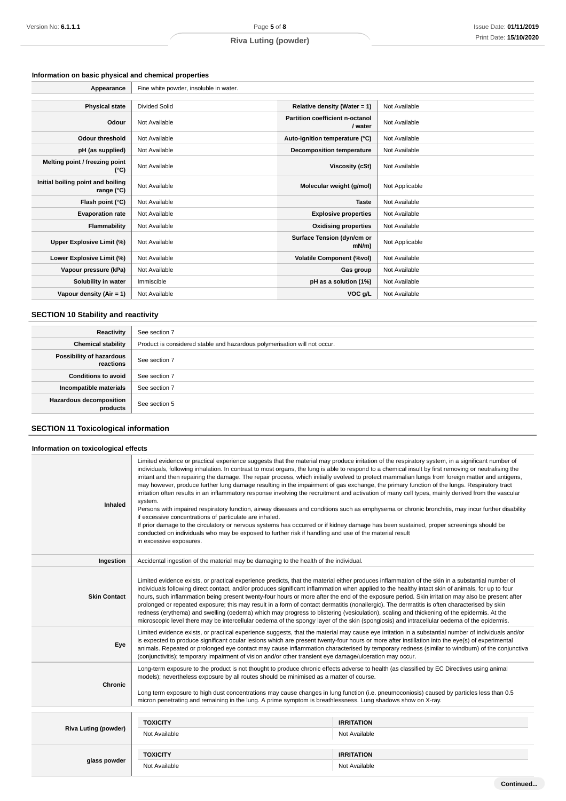# **Information on basic physical and chemical properties**

| Appearance                                      | Fine white powder, insoluble in water. |                                            |                |
|-------------------------------------------------|----------------------------------------|--------------------------------------------|----------------|
|                                                 |                                        |                                            |                |
| <b>Physical state</b>                           | <b>Divided Solid</b>                   | Relative density (Water = 1)               | Not Available  |
| Odour                                           | Not Available                          | Partition coefficient n-octanol<br>/ water | Not Available  |
| <b>Odour threshold</b>                          | Not Available                          | Auto-ignition temperature (°C)             | Not Available  |
| pH (as supplied)                                | Not Available                          | Decomposition temperature                  | Not Available  |
| Melting point / freezing point<br>(°C)          | Not Available                          | Viscosity (cSt)                            | Not Available  |
| Initial boiling point and boiling<br>range (°C) | Not Available                          | Molecular weight (g/mol)                   | Not Applicable |
| Flash point (°C)                                | Not Available                          | <b>Taste</b>                               | Not Available  |
| <b>Evaporation rate</b>                         | Not Available                          | <b>Explosive properties</b>                | Not Available  |
| Flammability                                    | Not Available                          | <b>Oxidising properties</b>                | Not Available  |
| Upper Explosive Limit (%)                       | Not Available                          | Surface Tension (dyn/cm or<br>mN/m         | Not Applicable |
| Lower Explosive Limit (%)                       | Not Available                          | <b>Volatile Component (%vol)</b>           | Not Available  |
| Vapour pressure (kPa)                           | Not Available                          | Gas group                                  | Not Available  |
| Solubility in water                             | Immiscible                             | pH as a solution (1%)                      | Not Available  |
| Vapour density $(Air = 1)$                      | Not Available                          | VOC g/L                                    | Not Available  |

# **SECTION 10 Stability and reactivity**

| Reactivity                                 | See section 7                                                             |
|--------------------------------------------|---------------------------------------------------------------------------|
| <b>Chemical stability</b>                  | Product is considered stable and hazardous polymerisation will not occur. |
| Possibility of hazardous<br>reactions      | See section 7                                                             |
| <b>Conditions to avoid</b>                 | See section 7                                                             |
| Incompatible materials                     | See section 7                                                             |
| <b>Hazardous decomposition</b><br>products | See section 5                                                             |

# **SECTION 11 Toxicological information**

| Information on toxicological effects |                                                                                                                                                                                                                                                                                                                                                                                                                                                                                                                                                                                                                                                                                                                                                                                                                                                                                                                                                                                                                                                                                                                                                                                                                                                                            |                   |  |  |
|--------------------------------------|----------------------------------------------------------------------------------------------------------------------------------------------------------------------------------------------------------------------------------------------------------------------------------------------------------------------------------------------------------------------------------------------------------------------------------------------------------------------------------------------------------------------------------------------------------------------------------------------------------------------------------------------------------------------------------------------------------------------------------------------------------------------------------------------------------------------------------------------------------------------------------------------------------------------------------------------------------------------------------------------------------------------------------------------------------------------------------------------------------------------------------------------------------------------------------------------------------------------------------------------------------------------------|-------------------|--|--|
| Inhaled                              | Limited evidence or practical experience suggests that the material may produce irritation of the respiratory system, in a significant number of<br>individuals, following inhalation. In contrast to most organs, the lung is able to respond to a chemical insult by first removing or neutralising the<br>irritant and then repairing the damage. The repair process, which initially evolved to protect mammalian lungs from foreign matter and antigens,<br>may however, produce further lung damage resulting in the impairment of gas exchange, the primary function of the lungs. Respiratory tract<br>irritation often results in an inflammatory response involving the recruitment and activation of many cell types, mainly derived from the vascular<br>system.<br>Persons with impaired respiratory function, airway diseases and conditions such as emphysema or chronic bronchitis, may incur further disability<br>if excessive concentrations of particulate are inhaled.<br>If prior damage to the circulatory or nervous systems has occurred or if kidney damage has been sustained, proper screenings should be<br>conducted on individuals who may be exposed to further risk if handling and use of the material result<br>in excessive exposures. |                   |  |  |
| Ingestion                            | Accidental ingestion of the material may be damaging to the health of the individual.                                                                                                                                                                                                                                                                                                                                                                                                                                                                                                                                                                                                                                                                                                                                                                                                                                                                                                                                                                                                                                                                                                                                                                                      |                   |  |  |
| <b>Skin Contact</b>                  | Limited evidence exists, or practical experience predicts, that the material either produces inflammation of the skin in a substantial number of<br>individuals following direct contact, and/or produces significant inflammation when applied to the healthy intact skin of animals, for up to four<br>hours, such inflammation being present twenty-four hours or more after the end of the exposure period. Skin irritation may also be present after<br>prolonged or repeated exposure; this may result in a form of contact dermatitis (nonallergic). The dermatitis is often characterised by skin<br>redness (erythema) and swelling (oedema) which may progress to blistering (vesiculation), scaling and thickening of the epidermis. At the<br>microscopic level there may be intercellular oedema of the spongy layer of the skin (spongiosis) and intracellular oedema of the epidermis.                                                                                                                                                                                                                                                                                                                                                                      |                   |  |  |
| Eye                                  | Limited evidence exists, or practical experience suggests, that the material may cause eye irritation in a substantial number of individuals and/or<br>is expected to produce significant ocular lesions which are present twenty-four hours or more after instillation into the eye(s) of experimental<br>animals. Repeated or prolonged eye contact may cause inflammation characterised by temporary redness (similar to windburn) of the conjunctiva<br>(conjunctivitis); temporary impairment of vision and/or other transient eye damage/ulceration may occur.                                                                                                                                                                                                                                                                                                                                                                                                                                                                                                                                                                                                                                                                                                       |                   |  |  |
| <b>Chronic</b>                       | Long-term exposure to the product is not thought to produce chronic effects adverse to health (as classified by EC Directives using animal<br>models); nevertheless exposure by all routes should be minimised as a matter of course.<br>Long term exposure to high dust concentrations may cause changes in lung function (i.e. pneumoconiosis) caused by particles less than 0.5<br>micron penetrating and remaining in the lung. A prime symptom is breathlessness. Lung shadows show on X-ray.                                                                                                                                                                                                                                                                                                                                                                                                                                                                                                                                                                                                                                                                                                                                                                         |                   |  |  |
|                                      | <b>TOXICITY</b>                                                                                                                                                                                                                                                                                                                                                                                                                                                                                                                                                                                                                                                                                                                                                                                                                                                                                                                                                                                                                                                                                                                                                                                                                                                            | <b>IRRITATION</b> |  |  |
| <b>Riva Luting (powder)</b>          | Not Available                                                                                                                                                                                                                                                                                                                                                                                                                                                                                                                                                                                                                                                                                                                                                                                                                                                                                                                                                                                                                                                                                                                                                                                                                                                              | Not Available     |  |  |
|                                      | <b>TOXICITY</b>                                                                                                                                                                                                                                                                                                                                                                                                                                                                                                                                                                                                                                                                                                                                                                                                                                                                                                                                                                                                                                                                                                                                                                                                                                                            | <b>IRRITATION</b> |  |  |
| glass powder                         | Not Available                                                                                                                                                                                                                                                                                                                                                                                                                                                                                                                                                                                                                                                                                                                                                                                                                                                                                                                                                                                                                                                                                                                                                                                                                                                              | Not Available     |  |  |
|                                      |                                                                                                                                                                                                                                                                                                                                                                                                                                                                                                                                                                                                                                                                                                                                                                                                                                                                                                                                                                                                                                                                                                                                                                                                                                                                            | Continued         |  |  |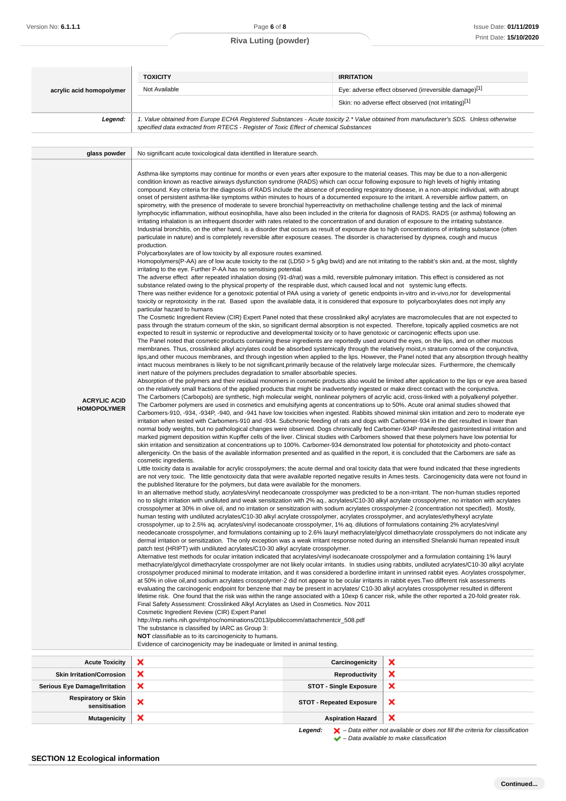|                                           | <b>TOXICITY</b>                                                                                                                                                                                                                                                                                                                                                                                                                                                                                                                                                                                                                                                                                                                                                                                                                                                                                                                                                                                                                                                                                                                                                                                                                                                                                                                                                                                                                                                                                                                                                                                                                                                                                                                                                                                                                                                                                                                                                                                                                                                                                                                                                                                                                                                                                                                                                                                                                                                                                                                                                                                                                                                                                                                                                                                                                                                                                                                                                                                                                                                                                                                                                                                                                                                                                                                                                                                                                                                                                                                                                                                                                                                                                                                                                                                                                                                                                                                                                                                                                                                                                                                                                                                                                                                                                                                                                                                                                                                                                                                                                                                                                                                                                                                                                                                                                                                                                                                                                                                                                                                                                                                                                                                                                                                                                                                                                                                                                                                                                                                                                                                                                                                                                                                                                                                                                                                                                                                                                                                                                                                                                                                                                                                                                                                                                                                                                                                                                                                                                                                                                                                                                                                                                                                                                                                                                                                                                                                                                                                                                                                                                                                                                                                                                                                                                                                                                                                                                                                                                                                                                                                                                                                                                                                                                                                                                 | <b>IRRITATION</b>               |                                                       |  |
|-------------------------------------------|---------------------------------------------------------------------------------------------------------------------------------------------------------------------------------------------------------------------------------------------------------------------------------------------------------------------------------------------------------------------------------------------------------------------------------------------------------------------------------------------------------------------------------------------------------------------------------------------------------------------------------------------------------------------------------------------------------------------------------------------------------------------------------------------------------------------------------------------------------------------------------------------------------------------------------------------------------------------------------------------------------------------------------------------------------------------------------------------------------------------------------------------------------------------------------------------------------------------------------------------------------------------------------------------------------------------------------------------------------------------------------------------------------------------------------------------------------------------------------------------------------------------------------------------------------------------------------------------------------------------------------------------------------------------------------------------------------------------------------------------------------------------------------------------------------------------------------------------------------------------------------------------------------------------------------------------------------------------------------------------------------------------------------------------------------------------------------------------------------------------------------------------------------------------------------------------------------------------------------------------------------------------------------------------------------------------------------------------------------------------------------------------------------------------------------------------------------------------------------------------------------------------------------------------------------------------------------------------------------------------------------------------------------------------------------------------------------------------------------------------------------------------------------------------------------------------------------------------------------------------------------------------------------------------------------------------------------------------------------------------------------------------------------------------------------------------------------------------------------------------------------------------------------------------------------------------------------------------------------------------------------------------------------------------------------------------------------------------------------------------------------------------------------------------------------------------------------------------------------------------------------------------------------------------------------------------------------------------------------------------------------------------------------------------------------------------------------------------------------------------------------------------------------------------------------------------------------------------------------------------------------------------------------------------------------------------------------------------------------------------------------------------------------------------------------------------------------------------------------------------------------------------------------------------------------------------------------------------------------------------------------------------------------------------------------------------------------------------------------------------------------------------------------------------------------------------------------------------------------------------------------------------------------------------------------------------------------------------------------------------------------------------------------------------------------------------------------------------------------------------------------------------------------------------------------------------------------------------------------------------------------------------------------------------------------------------------------------------------------------------------------------------------------------------------------------------------------------------------------------------------------------------------------------------------------------------------------------------------------------------------------------------------------------------------------------------------------------------------------------------------------------------------------------------------------------------------------------------------------------------------------------------------------------------------------------------------------------------------------------------------------------------------------------------------------------------------------------------------------------------------------------------------------------------------------------------------------------------------------------------------------------------------------------------------------------------------------------------------------------------------------------------------------------------------------------------------------------------------------------------------------------------------------------------------------------------------------------------------------------------------------------------------------------------------------------------------------------------------------------------------------------------------------------------------------------------------------------------------------------------------------------------------------------------------------------------------------------------------------------------------------------------------------------------------------------------------------------------------------------------------------------------------------------------------------------------------------------------------------------------------------------------------------------------------------------------------------------------------------------------------------------------------------------------------------------------------------------------------------------------------------------------------------------------------------------------------------------------------------------------------------------------------------------------------------------------------------------------------------------------------------------------------------------------------------------------------------------------------------------------------------------------------------------------------------------------------------------------------------------------------------------------------------------------------------------------------------------------------------------------------------------------------------------------------------------------------------|---------------------------------|-------------------------------------------------------|--|
| acrylic acid homopolymer                  | Not Available                                                                                                                                                                                                                                                                                                                                                                                                                                                                                                                                                                                                                                                                                                                                                                                                                                                                                                                                                                                                                                                                                                                                                                                                                                                                                                                                                                                                                                                                                                                                                                                                                                                                                                                                                                                                                                                                                                                                                                                                                                                                                                                                                                                                                                                                                                                                                                                                                                                                                                                                                                                                                                                                                                                                                                                                                                                                                                                                                                                                                                                                                                                                                                                                                                                                                                                                                                                                                                                                                                                                                                                                                                                                                                                                                                                                                                                                                                                                                                                                                                                                                                                                                                                                                                                                                                                                                                                                                                                                                                                                                                                                                                                                                                                                                                                                                                                                                                                                                                                                                                                                                                                                                                                                                                                                                                                                                                                                                                                                                                                                                                                                                                                                                                                                                                                                                                                                                                                                                                                                                                                                                                                                                                                                                                                                                                                                                                                                                                                                                                                                                                                                                                                                                                                                                                                                                                                                                                                                                                                                                                                                                                                                                                                                                                                                                                                                                                                                                                                                                                                                                                                                                                                                                                                                                                                                                   |                                 | Eye: adverse effect observed (irreversible damage)[1] |  |
|                                           |                                                                                                                                                                                                                                                                                                                                                                                                                                                                                                                                                                                                                                                                                                                                                                                                                                                                                                                                                                                                                                                                                                                                                                                                                                                                                                                                                                                                                                                                                                                                                                                                                                                                                                                                                                                                                                                                                                                                                                                                                                                                                                                                                                                                                                                                                                                                                                                                                                                                                                                                                                                                                                                                                                                                                                                                                                                                                                                                                                                                                                                                                                                                                                                                                                                                                                                                                                                                                                                                                                                                                                                                                                                                                                                                                                                                                                                                                                                                                                                                                                                                                                                                                                                                                                                                                                                                                                                                                                                                                                                                                                                                                                                                                                                                                                                                                                                                                                                                                                                                                                                                                                                                                                                                                                                                                                                                                                                                                                                                                                                                                                                                                                                                                                                                                                                                                                                                                                                                                                                                                                                                                                                                                                                                                                                                                                                                                                                                                                                                                                                                                                                                                                                                                                                                                                                                                                                                                                                                                                                                                                                                                                                                                                                                                                                                                                                                                                                                                                                                                                                                                                                                                                                                                                                                                                                                                                 |                                 | Skin: no adverse effect observed (not irritating)[1]  |  |
| Legend:                                   | 1. Value obtained from Europe ECHA Registered Substances - Acute toxicity 2.* Value obtained from manufacturer's SDS. Unless otherwise<br>specified data extracted from RTECS - Register of Toxic Effect of chemical Substances                                                                                                                                                                                                                                                                                                                                                                                                                                                                                                                                                                                                                                                                                                                                                                                                                                                                                                                                                                                                                                                                                                                                                                                                                                                                                                                                                                                                                                                                                                                                                                                                                                                                                                                                                                                                                                                                                                                                                                                                                                                                                                                                                                                                                                                                                                                                                                                                                                                                                                                                                                                                                                                                                                                                                                                                                                                                                                                                                                                                                                                                                                                                                                                                                                                                                                                                                                                                                                                                                                                                                                                                                                                                                                                                                                                                                                                                                                                                                                                                                                                                                                                                                                                                                                                                                                                                                                                                                                                                                                                                                                                                                                                                                                                                                                                                                                                                                                                                                                                                                                                                                                                                                                                                                                                                                                                                                                                                                                                                                                                                                                                                                                                                                                                                                                                                                                                                                                                                                                                                                                                                                                                                                                                                                                                                                                                                                                                                                                                                                                                                                                                                                                                                                                                                                                                                                                                                                                                                                                                                                                                                                                                                                                                                                                                                                                                                                                                                                                                                                                                                                                                                 |                                 |                                                       |  |
| glass powder                              | No significant acute toxicological data identified in literature search.                                                                                                                                                                                                                                                                                                                                                                                                                                                                                                                                                                                                                                                                                                                                                                                                                                                                                                                                                                                                                                                                                                                                                                                                                                                                                                                                                                                                                                                                                                                                                                                                                                                                                                                                                                                                                                                                                                                                                                                                                                                                                                                                                                                                                                                                                                                                                                                                                                                                                                                                                                                                                                                                                                                                                                                                                                                                                                                                                                                                                                                                                                                                                                                                                                                                                                                                                                                                                                                                                                                                                                                                                                                                                                                                                                                                                                                                                                                                                                                                                                                                                                                                                                                                                                                                                                                                                                                                                                                                                                                                                                                                                                                                                                                                                                                                                                                                                                                                                                                                                                                                                                                                                                                                                                                                                                                                                                                                                                                                                                                                                                                                                                                                                                                                                                                                                                                                                                                                                                                                                                                                                                                                                                                                                                                                                                                                                                                                                                                                                                                                                                                                                                                                                                                                                                                                                                                                                                                                                                                                                                                                                                                                                                                                                                                                                                                                                                                                                                                                                                                                                                                                                                                                                                                                                        |                                 |                                                       |  |
| <b>ACRYLIC ACID</b><br><b>HOMOPOLYMER</b> | Asthma-like symptoms may continue for months or even years after exposure to the material ceases. This may be due to a non-allergenic<br>condition known as reactive airways dysfunction syndrome (RADS) which can occur following exposure to high levels of highly irritating<br>compound. Key criteria for the diagnosis of RADS include the absence of preceding respiratory disease, in a non-atopic individual, with abrupt<br>onset of persistent asthma-like symptoms within minutes to hours of a documented exposure to the irritant. A reversible airflow pattern, on<br>spirometry, with the presence of moderate to severe bronchial hyperreactivity on methacholine challenge testing and the lack of minimal<br>lymphocytic inflammation, without eosinophilia, have also been included in the criteria for diagnosis of RADS. RADS (or asthma) following an<br>irritating inhalation is an infrequent disorder with rates related to the concentration of and duration of exposure to the irritating substance.<br>Industrial bronchitis, on the other hand, is a disorder that occurs as result of exposure due to high concentrations of irritating substance (often<br>particulate in nature) and is completely reversible after exposure ceases. The disorder is characterised by dyspnea, cough and mucus<br>production.<br>Polycarboxylates are of low toxicity by all exposure routes examined.<br>Homopolymers(P-AA) are of low acute toxicity to the rat (LD50 > 5 g/kg bw/d) and are not irritating to the rabbit's skin and, at the most, slightly<br>irritating to the eye. Further P-AA has no sensitising potential.<br>The adverse effect after repeated inhalation dosing (91-d/rat) was a mild, reversible pulmonary irritation. This effect is considered as not<br>substance related owing to the physical property of the respirable dust, which caused local and not systemic lung effects.<br>There was neither evidence for a genotoxic potential of PAA using a variety of genetic endpoints in-vitro and in-vivo, nor for developmental<br>toxicity or reprotoxicity in the rat. Based upon the available data, it is considered that exposure to polycarboxylates does not imply any<br>particular hazard to humans<br>The Cosmetic Ingredient Review (CIR) Expert Panel noted that these crosslinked alkyl acrylates are macromolecules that are not expected to<br>pass through the stratum corneum of the skin, so significant dermal absorption is not expected. Therefore, topically applied cosmetics are not<br>expected to result in systemic or reproductive and developmental toxicity or to have genotoxic or carcinogenic effects upon use.<br>The Panel noted that cosmetic products containing these ingredients are reportedly used around the eyes, on the lips, and on other mucous<br>membranes. Thus, crosslinked alkyl acrylates could be absorbed systemically through the relatively moist,n stratum cornea of the conjunctiva,<br>lips, and other mucous membranes, and through ingestion when applied to the lips. However, the Panel noted that any absorption through healthy<br>intact mucous membranes is likely to be not significant, primarily because of the relatively large molecular sizes. Furthermore, the chemically<br>inert nature of the polymers precludes degradation to smaller absorbable species.<br>Absorption of the polymers and their residual monomers in cosmetic products also would be limited after application to the lips or eye area based<br>on the relatively small fractions of the applied products that might be inadvertently ingested or make direct contact with the conjunctiva.<br>The Carbomers (Carbopols) are synthetic, high molecular weight, nonlinear polymers of acrylic acid, cross-linked with a polyalkenyl polyether.<br>The Carbomer polymers are used in cosmetics and emulsifying agents at concentrations up to 50%. Acute oral animal studies showed that<br>Carbomers-910, -934, -934P, -940, and -941 have low toxicities when ingested. Rabbits showed minimal skin irritation and zero to moderate eye<br>irritation when tested with Carbomers-910 and -934. Subchronic feeding of rats and dogs with Carbomer-934 in the diet resulted in lower than<br>normal body weights, but no pathological changes were observed. Dogs chronically fed Carbomer-934P manifested gastrointestinal irritation and<br>marked pigment deposition within Kupffer cells of the liver. Clinical studies with Carbomers showed that these polymers have low potential for<br>skin irritation and sensitization at concentrations up to 100%. Carbomer-934 demonstrated low potential for phototoxicity and photo-contact<br>allergenicity. On the basis of the available information presented and as qualified in the report, it is concluded that the Carbomers are safe as<br>cosmetic ingredients.<br>Little toxicity data is available for acrylic crosspolymers; the acute dermal and oral toxicity data that were found indicated that these ingredients<br>are not very toxic. The little genotoxicity data that were available reported negative results in Ames tests. Carcinogenicity data were not found in<br>the published literature for the polymers, but data were available for the monomers.<br>In an alternative method study, acrylates/vinyl neodecanoate crosspolymer was predicted to be a non-irritant. The non-human studies reported<br>no to slight irritation with undiluted and weak sensitization with 2% aq., acrylates/C10-30 alkyl acrylate crosspolymer, no irritation with acrylates<br>crosspolymer at 30% in olive oil, and no irritation or sensitization with sodium acrylates crosspolymer-2 (concentration not specified). Mostly,<br>human testing with undiluted acrylates/C10-30 alkyl acrylate crosspolymer, acrylates crosspolymer, and acrylates/ethylhexyl acrylate<br>crosspolymer, up to 2.5% aq. acrylates/vinyl isodecanoate crosspolymer, 1% aq. dilutions of formulations containing 2% acrylates/vinyl<br>neodecanoate crosspolymer, and formulations containing up to 2.6% lauryl methacrylate/glycol dimethacrylate crosspolymers do not indicate any<br>dermal irritation or sensitization. The only exception was a weak irritant response noted during an intensified Shelanski human repeated insult<br>patch test (HRIPT) with undiluted acrylates/C10-30 alkyl acrylate crosspolymer.<br>Alternative test methods for ocular irritation indicated that acrylates/vinyl isodecanoate crosspolymer and a formulation containing 1% lauryl<br>methacrylate/glycol dimethacrylate crosspolymer are not likely ocular irritants. In studies using rabbits, undiluted acrylates/C10-30 alkyl acrylate<br>crosspolymer produced minimal to moderate irritation, and it was considered a borderline irritant in unrinsed rabbit eyes. Acrylates crosspolymer,<br>at 50% in olive oil, and sodium acrylates crosspolymer-2 did not appear to be ocular irritants in rabbit eyes. Two different risk assessments<br>evaluating the carcinogenic endpoint for benzene that may be present in acrylates/C10-30 alkyl acrylates crosspolymer resulted in different<br>lifetime risk. One found that the risk was within the range associated with a 10exp 6 cancer risk, while the other reported a 20-fold greater risk.<br>Final Safety Assessment: Crosslinked Alkyl Acrylates as Used in Cosmetics. Nov 2011<br>Cosmetic Ingredient Review (CIR) Expert Panel<br>http://ntp.niehs.nih.gov/ntp/roc/nominations/2013/publiccomm/attachmentcir_508.pdf<br>The substance is classified by IARC as Group 3:<br><b>NOT</b> classifiable as to its carcinogenicity to humans.<br>Evidence of carcinogenicity may be inadequate or limited in animal testing. |                                 |                                                       |  |
| <b>Acute Toxicity</b>                     | ×<br>×<br>Carcinogenicity                                                                                                                                                                                                                                                                                                                                                                                                                                                                                                                                                                                                                                                                                                                                                                                                                                                                                                                                                                                                                                                                                                                                                                                                                                                                                                                                                                                                                                                                                                                                                                                                                                                                                                                                                                                                                                                                                                                                                                                                                                                                                                                                                                                                                                                                                                                                                                                                                                                                                                                                                                                                                                                                                                                                                                                                                                                                                                                                                                                                                                                                                                                                                                                                                                                                                                                                                                                                                                                                                                                                                                                                                                                                                                                                                                                                                                                                                                                                                                                                                                                                                                                                                                                                                                                                                                                                                                                                                                                                                                                                                                                                                                                                                                                                                                                                                                                                                                                                                                                                                                                                                                                                                                                                                                                                                                                                                                                                                                                                                                                                                                                                                                                                                                                                                                                                                                                                                                                                                                                                                                                                                                                                                                                                                                                                                                                                                                                                                                                                                                                                                                                                                                                                                                                                                                                                                                                                                                                                                                                                                                                                                                                                                                                                                                                                                                                                                                                                                                                                                                                                                                                                                                                                                                                                                                                                       |                                 |                                                       |  |
| <b>Skin Irritation/Corrosion</b>          | ×                                                                                                                                                                                                                                                                                                                                                                                                                                                                                                                                                                                                                                                                                                                                                                                                                                                                                                                                                                                                                                                                                                                                                                                                                                                                                                                                                                                                                                                                                                                                                                                                                                                                                                                                                                                                                                                                                                                                                                                                                                                                                                                                                                                                                                                                                                                                                                                                                                                                                                                                                                                                                                                                                                                                                                                                                                                                                                                                                                                                                                                                                                                                                                                                                                                                                                                                                                                                                                                                                                                                                                                                                                                                                                                                                                                                                                                                                                                                                                                                                                                                                                                                                                                                                                                                                                                                                                                                                                                                                                                                                                                                                                                                                                                                                                                                                                                                                                                                                                                                                                                                                                                                                                                                                                                                                                                                                                                                                                                                                                                                                                                                                                                                                                                                                                                                                                                                                                                                                                                                                                                                                                                                                                                                                                                                                                                                                                                                                                                                                                                                                                                                                                                                                                                                                                                                                                                                                                                                                                                                                                                                                                                                                                                                                                                                                                                                                                                                                                                                                                                                                                                                                                                                                                                                                                                                                               | <b>Reproductivity</b>           | ×                                                     |  |
| <b>Serious Eye Damage/Irritation</b>      | ×                                                                                                                                                                                                                                                                                                                                                                                                                                                                                                                                                                                                                                                                                                                                                                                                                                                                                                                                                                                                                                                                                                                                                                                                                                                                                                                                                                                                                                                                                                                                                                                                                                                                                                                                                                                                                                                                                                                                                                                                                                                                                                                                                                                                                                                                                                                                                                                                                                                                                                                                                                                                                                                                                                                                                                                                                                                                                                                                                                                                                                                                                                                                                                                                                                                                                                                                                                                                                                                                                                                                                                                                                                                                                                                                                                                                                                                                                                                                                                                                                                                                                                                                                                                                                                                                                                                                                                                                                                                                                                                                                                                                                                                                                                                                                                                                                                                                                                                                                                                                                                                                                                                                                                                                                                                                                                                                                                                                                                                                                                                                                                                                                                                                                                                                                                                                                                                                                                                                                                                                                                                                                                                                                                                                                                                                                                                                                                                                                                                                                                                                                                                                                                                                                                                                                                                                                                                                                                                                                                                                                                                                                                                                                                                                                                                                                                                                                                                                                                                                                                                                                                                                                                                                                                                                                                                                                               | <b>STOT - Single Exposure</b>   | ×                                                     |  |
| <b>Respiratory or Skin</b>                |                                                                                                                                                                                                                                                                                                                                                                                                                                                                                                                                                                                                                                                                                                                                                                                                                                                                                                                                                                                                                                                                                                                                                                                                                                                                                                                                                                                                                                                                                                                                                                                                                                                                                                                                                                                                                                                                                                                                                                                                                                                                                                                                                                                                                                                                                                                                                                                                                                                                                                                                                                                                                                                                                                                                                                                                                                                                                                                                                                                                                                                                                                                                                                                                                                                                                                                                                                                                                                                                                                                                                                                                                                                                                                                                                                                                                                                                                                                                                                                                                                                                                                                                                                                                                                                                                                                                                                                                                                                                                                                                                                                                                                                                                                                                                                                                                                                                                                                                                                                                                                                                                                                                                                                                                                                                                                                                                                                                                                                                                                                                                                                                                                                                                                                                                                                                                                                                                                                                                                                                                                                                                                                                                                                                                                                                                                                                                                                                                                                                                                                                                                                                                                                                                                                                                                                                                                                                                                                                                                                                                                                                                                                                                                                                                                                                                                                                                                                                                                                                                                                                                                                                                                                                                                                                                                                                                                 |                                 |                                                       |  |
| sensitisation                             | ×                                                                                                                                                                                                                                                                                                                                                                                                                                                                                                                                                                                                                                                                                                                                                                                                                                                                                                                                                                                                                                                                                                                                                                                                                                                                                                                                                                                                                                                                                                                                                                                                                                                                                                                                                                                                                                                                                                                                                                                                                                                                                                                                                                                                                                                                                                                                                                                                                                                                                                                                                                                                                                                                                                                                                                                                                                                                                                                                                                                                                                                                                                                                                                                                                                                                                                                                                                                                                                                                                                                                                                                                                                                                                                                                                                                                                                                                                                                                                                                                                                                                                                                                                                                                                                                                                                                                                                                                                                                                                                                                                                                                                                                                                                                                                                                                                                                                                                                                                                                                                                                                                                                                                                                                                                                                                                                                                                                                                                                                                                                                                                                                                                                                                                                                                                                                                                                                                                                                                                                                                                                                                                                                                                                                                                                                                                                                                                                                                                                                                                                                                                                                                                                                                                                                                                                                                                                                                                                                                                                                                                                                                                                                                                                                                                                                                                                                                                                                                                                                                                                                                                                                                                                                                                                                                                                                                               | <b>STOT - Repeated Exposure</b> | ×                                                     |  |

**Mutagenicity X Aspiration Hazard** 

**Legend:**  $\mathbf{X}$  – Data either not available or does not fill the criteria for classification – Data available to make classification

 $\pmb{\times}$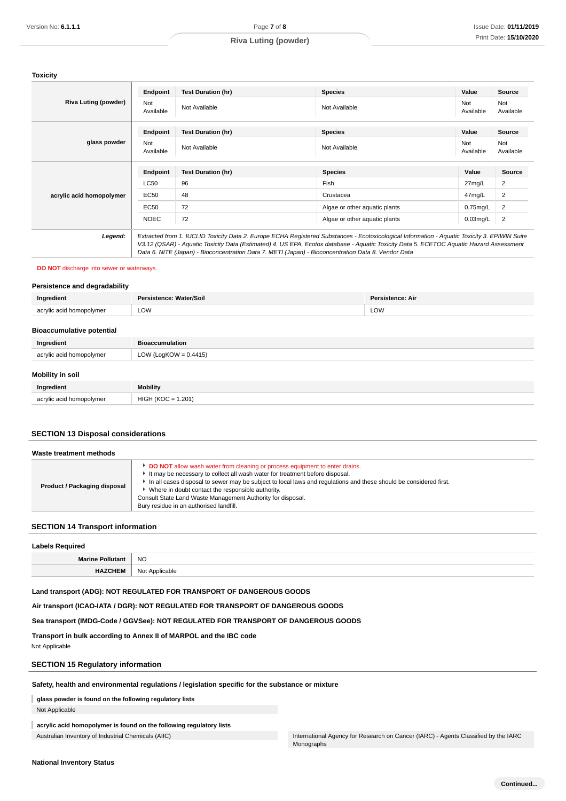**Toxicity**

| <b>Riva Luting (powder)</b> | Endpoint                | <b>Test Duration (hr)</b>                                                                                                                                                                                                                                                                                                                                                                       | <b>Species</b>                | Value            | Source           |
|-----------------------------|-------------------------|-------------------------------------------------------------------------------------------------------------------------------------------------------------------------------------------------------------------------------------------------------------------------------------------------------------------------------------------------------------------------------------------------|-------------------------------|------------------|------------------|
|                             | <b>Not</b><br>Available | Not Available                                                                                                                                                                                                                                                                                                                                                                                   | Not Available                 | Not<br>Available | Not<br>Available |
|                             | Endpoint                | <b>Test Duration (hr)</b>                                                                                                                                                                                                                                                                                                                                                                       | <b>Species</b>                | Value            | Source           |
| glass powder                | Not<br>Available        | Not Available                                                                                                                                                                                                                                                                                                                                                                                   | Not Available                 | Not<br>Available | Not<br>Available |
|                             | Endpoint                | <b>Test Duration (hr)</b>                                                                                                                                                                                                                                                                                                                                                                       | <b>Species</b>                | Value            | Source           |
| acrylic acid homopolymer    | <b>LC50</b>             | 96                                                                                                                                                                                                                                                                                                                                                                                              | Fish                          | 27mg/L           | 2                |
|                             | <b>EC50</b>             | 48                                                                                                                                                                                                                                                                                                                                                                                              | Crustacea                     | 47mg/L           | 2                |
|                             | <b>EC50</b>             | 72                                                                                                                                                                                                                                                                                                                                                                                              | Algae or other aquatic plants | $0.75$ mg/L      | $\overline{2}$   |
|                             | <b>NOEC</b>             | 72                                                                                                                                                                                                                                                                                                                                                                                              | Algae or other aquatic plants | $0.03$ mg/L      | $\overline{2}$   |
| Legend:                     |                         | Extracted from 1. IUCLID Toxicity Data 2. Europe ECHA Registered Substances - Ecotoxicological Information - Aquatic Toxicity 3. EPIWIN Suite<br>V3.12 (QSAR) - Aquatic Toxicity Data (Estimated) 4. US EPA, Ecotox database - Aquatic Toxicity Data 5. ECETOC Aquatic Hazard Assessment<br>Data 6. NITE (Japan) - Bioconcentration Data 7. METI (Japan) - Bioconcentration Data 8. Vendor Data |                               |                  |                  |

#### **DO NOT** discharge into sewer or waterways.

### **Persistence and degradability**

| Ingredient               | Persistence: Water/Soil | Persistence: Air |
|--------------------------|-------------------------|------------------|
| acrylic acid homopolymer | LOW                     | LOW              |
|                          |                         |                  |

# **Bioaccumulative potential**

| Ingredient               | <b>Bioaccumulation</b>   |  |  |
|--------------------------|--------------------------|--|--|
| acrylic acid homopolymer | LOW (LogKOW = $0.4415$ ) |  |  |
| Mobility in soil         |                          |  |  |
| Ingredient               | Mobility                 |  |  |

| l homopolvmer<br>acrylic ar <sup>r</sup><br>__ | <b>HIGH</b><br>ı (KC<br>1.201<br>-<br>_____<br>__<br>__ |  |  |
|------------------------------------------------|---------------------------------------------------------|--|--|
|                                                |                                                         |  |  |

# **SECTION 13 Disposal considerations**

| Waste treatment methods      |                                                                                                                                                                                                                                                                                                                                                                                                                                                          |  |  |  |
|------------------------------|----------------------------------------------------------------------------------------------------------------------------------------------------------------------------------------------------------------------------------------------------------------------------------------------------------------------------------------------------------------------------------------------------------------------------------------------------------|--|--|--|
| Product / Packaging disposal | <b>DO NOT</b> allow wash water from cleaning or process equipment to enter drains.<br>It may be necessary to collect all wash water for treatment before disposal.<br>In all cases disposal to sewer may be subject to local laws and regulations and these should be considered first.<br>• Where in doubt contact the responsible authority.<br>Consult State Land Waste Management Authority for disposal.<br>Bury residue in an authorised landfill. |  |  |  |

#### **SECTION 14 Transport information**

| Labels Required      |                       |  |
|----------------------|-----------------------|--|
| <b>Maring Pollut</b> | <b>NO</b>             |  |
| <b>HAZCHEM</b>       | t Applicable<br>Not / |  |

#### **Land transport (ADG): NOT REGULATED FOR TRANSPORT OF DANGEROUS GOODS**

**Air transport (ICAO-IATA / DGR): NOT REGULATED FOR TRANSPORT OF DANGEROUS GOODS**

**Sea transport (IMDG-Code / GGVSee): NOT REGULATED FOR TRANSPORT OF DANGEROUS GOODS**

**Transport in bulk according to Annex II of MARPOL and the IBC code**

Not Applicable

### **SECTION 15 Regulatory information**

**Safety, health and environmental regulations / legislation specific for the substance or mixture**

**glass powder is found on the following regulatory lists** Not Applicable

**acrylic acid homopolymer is found on the following regulatory lists**